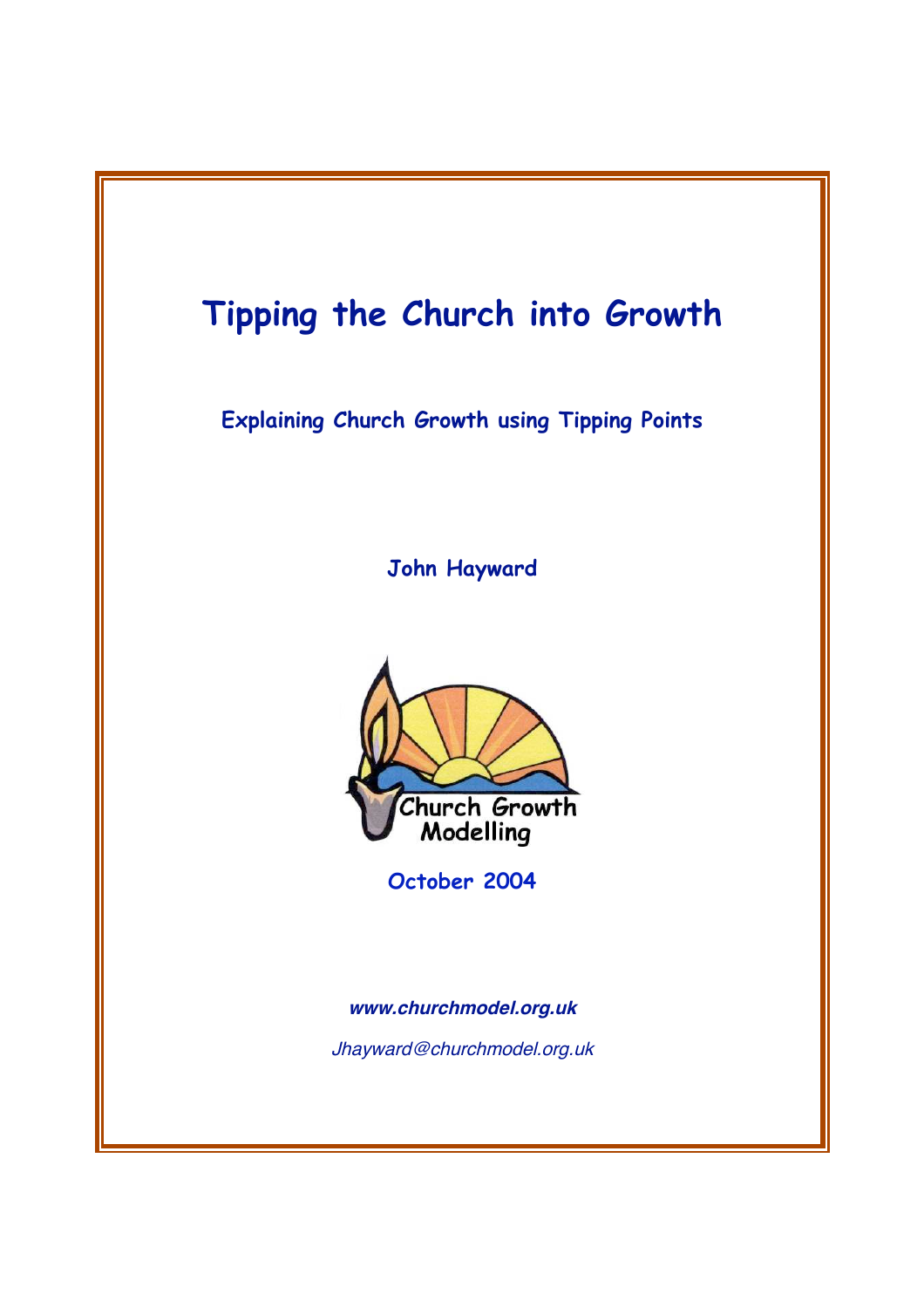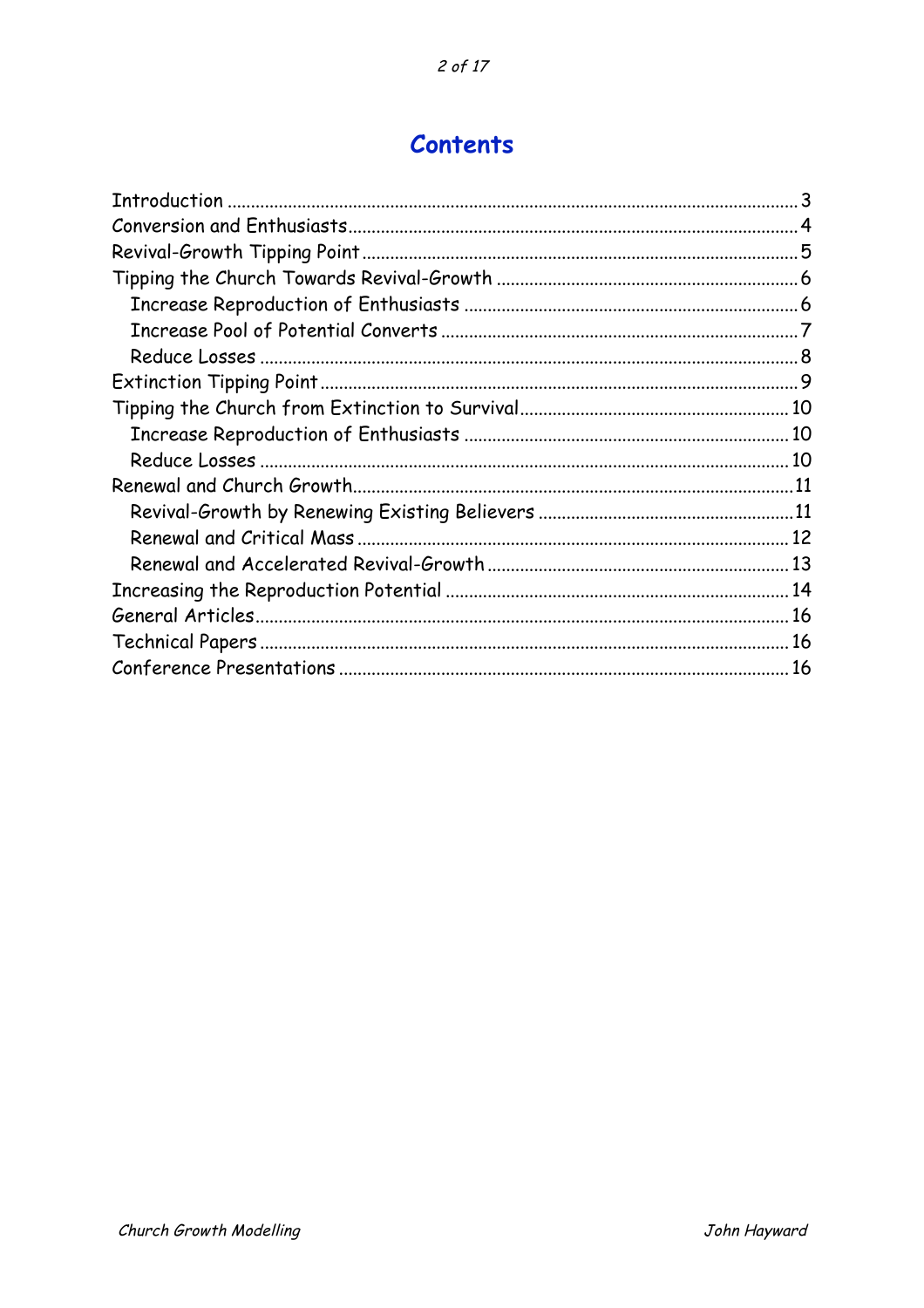# **Contents**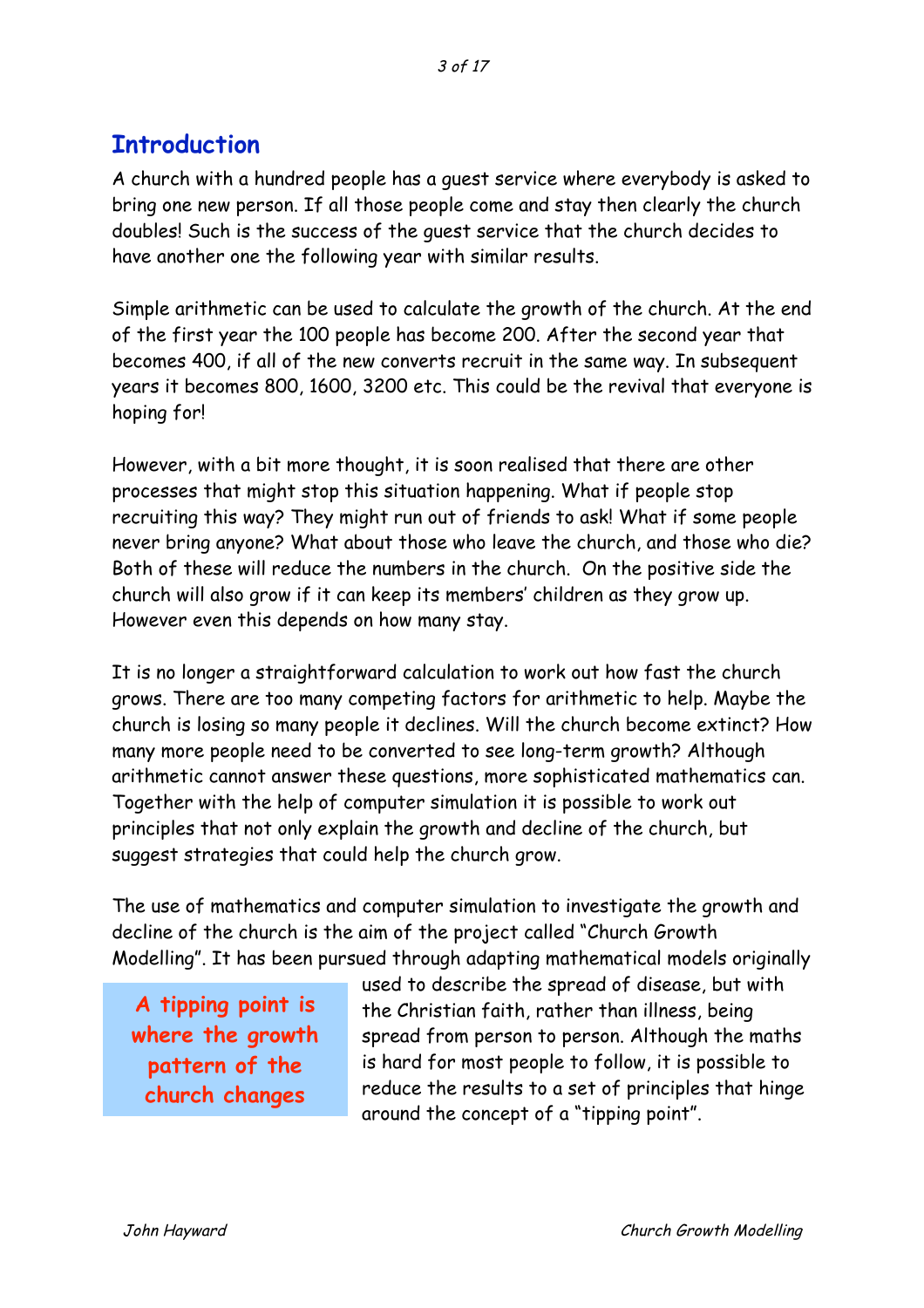# **Introduction**

A church with a hundred people has a guest service where everybody is asked to bring one new person. If all those people come and stay then clearly the church doubles! Such is the success of the guest service that the church decides to have another one the following year with similar results.

Simple arithmetic can be used to calculate the growth of the church. At the end of the first year the 100 people has become 200. After the second year that becomes 400, if all of the new converts recruit in the same way. In subsequent years it becomes 800, 1600, 3200 etc. This could be the revival that everyone is hoping for!

However, with a bit more thought, it is soon realised that there are other processes that might stop this situation happening. What if people stop recruiting this way? They might run out of friends to ask! What if some people never bring anyone? What about those who leave the church, and those who die? Both of these will reduce the numbers in the church. On the positive side the church will also grow if it can keep its members' children as they grow up. However even this depends on how many stay.

It is no longer a straightforward calculation to work out how fast the church grows. There are too many competing factors for arithmetic to help. Maybe the church is losing so many people it declines. Will the church become extinct? How many more people need to be converted to see long-term growth? Although arithmetic cannot answer these questions, more sophisticated mathematics can. Together with the help of computer simulation it is possible to work out principles that not only explain the growth and decline of the church, but suggest strategies that could help the church grow.

The use of mathematics and computer simulation to investigate the growth and decline of the church is the aim of the project called "Church Growth Modelling". It has been pursued through adapting mathematical models originally

**A tipping point is where the growth pattern of the church changes**

used to describe the spread of disease, but with the Christian faith, rather than illness, being spread from person to person. Although the maths is hard for most people to follow, it is possible to reduce the results to a set of principles that hinge around the concept of a "tipping point".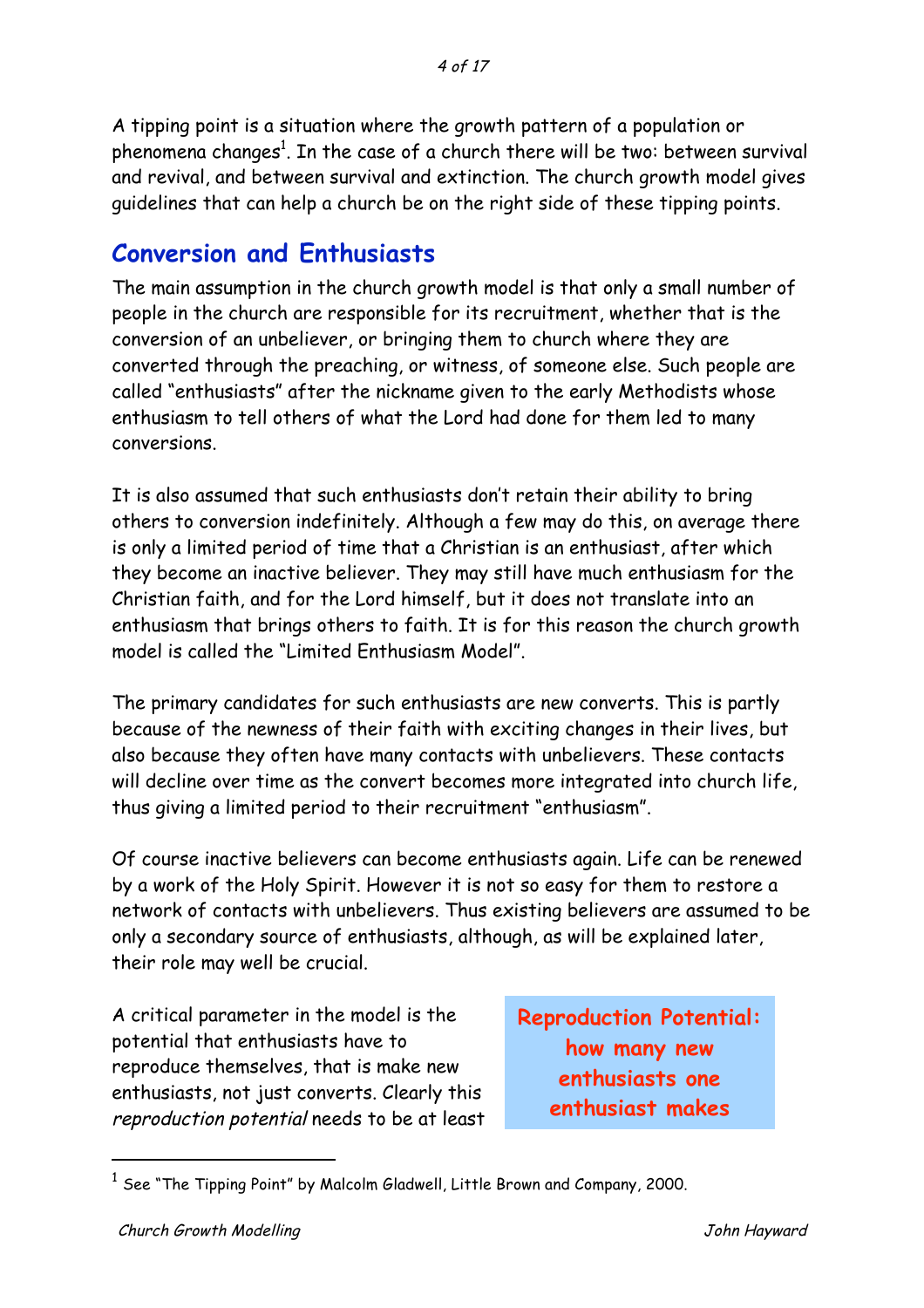A tipping point is a situation where the growth pattern of a population or phenomena changes $^{\rm 1}$ . In the case of a church there will be two: between survival and revival, and between survival and extinction. The church growth model gives guidelines that can help a church be on the right side of these tipping points.

### **Conversion and Enthusiasts**

The main assumption in the church growth model is that only a small number of people in the church are responsible for its recruitment, whether that is the conversion of an unbeliever, or bringing them to church where they are converted through the preaching, or witness, of someone else. Such people are called "enthusiasts" after the nickname given to the early Methodists whose enthusiasm to tell others of what the Lord had done for them led to many conversions.

It is also assumed that such enthusiasts don't retain their ability to bring others to conversion indefinitely. Although a few may do this, on average there is only a limited period of time that a Christian is an enthusiast, after which they become an inactive believer. They may still have much enthusiasm for the Christian faith, and for the Lord himself, but it does not translate into an enthusiasm that brings others to faith. It is for this reason the church growth model is called the "Limited Enthusiasm Model".

The primary candidates for such enthusiasts are new converts. This is partly because of the newness of their faith with exciting changes in their lives, but also because they often have many contacts with unbelievers. These contacts will decline over time as the convert becomes more integrated into church life, thus giving a limited period to their recruitment "enthusiasm".

Of course inactive believers can become enthusiasts again. Life can be renewed by a work of the Holy Spirit. However it is not so easy for them to restore a network of contacts with unbelievers. Thus existing believers are assumed to be only a secondary source of enthusiasts, although, as will be explained later, their role may well be crucial.

A critical parameter in the model is the potential that enthusiasts have to reproduce themselves, that is make new enthusiasts, not just converts. Clearly this reproduction potential needs to be at least **Reproduction Potential: how many new enthusiasts one enthusiast makes**

 $1$  See "The Tipping Point" by Malcolm Gladwell, Little Brown and Company, 2000.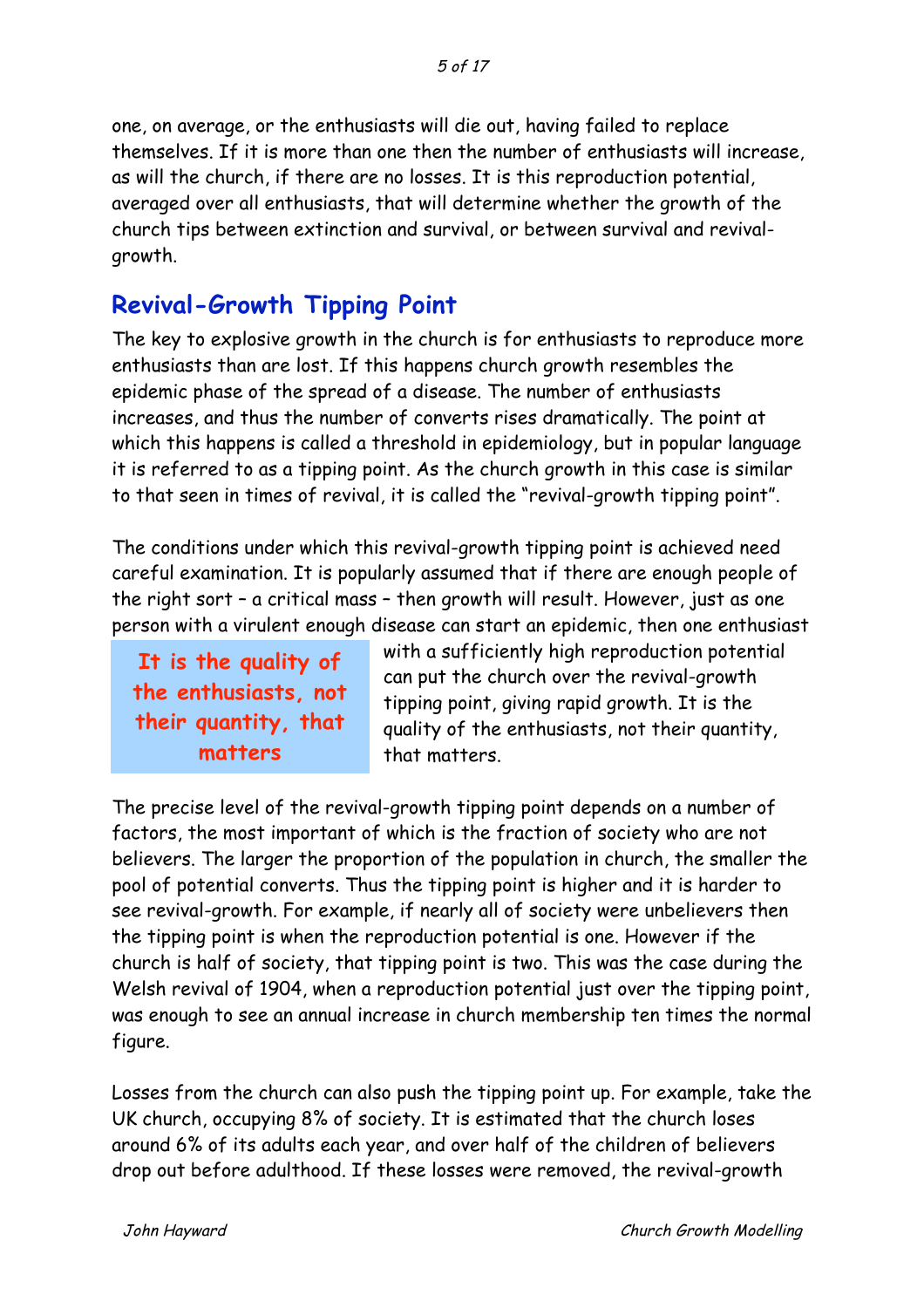one, on average, or the enthusiasts will die out, having failed to replace themselves. If it is more than one then the number of enthusiasts will increase, as will the church, if there are no losses. It is this reproduction potential, averaged over all enthusiasts, that will determine whether the growth of the church tips between extinction and survival, or between survival and revivalgrowth.

## **Revival-Growth Tipping Point**

The key to explosive growth in the church is for enthusiasts to reproduce more enthusiasts than are lost. If this happens church growth resembles the epidemic phase of the spread of a disease. The number of enthusiasts increases, and thus the number of converts rises dramatically. The point at which this happens is called a threshold in epidemiology, but in popular language it is referred to as a tipping point. As the church growth in this case is similar to that seen in times of revival, it is called the "revival-growth tipping point".

The conditions under which this revival-growth tipping point is achieved need careful examination. It is popularly assumed that if there are enough people of the right sort – a critical mass – then growth will result. However, just as one person with a virulent enough disease can start an epidemic, then one enthusiast

**It is the quality of the enthusiasts, not their quantity, that matters**

with a sufficiently high reproduction potential can put the church over the revival-growth tipping point, giving rapid growth. It is the quality of the enthusiasts, not their quantity, that matters.

The precise level of the revival-growth tipping point depends on a number of factors, the most important of which is the fraction of society who are not believers. The larger the proportion of the population in church, the smaller the pool of potential converts. Thus the tipping point is higher and it is harder to see revival-growth. For example, if nearly all of society were unbelievers then the tipping point is when the reproduction potential is one. However if the church is half of society, that tipping point is two. This was the case during the Welsh revival of 1904, when a reproduction potential just over the tipping point, was enough to see an annual increase in church membership ten times the normal figure.

Losses from the church can also push the tipping point up. For example, take the UK church, occupying 8% of society. It is estimated that the church loses around 6% of its adults each year, and over half of the children of believers drop out before adulthood. If these losses were removed, the revival-growth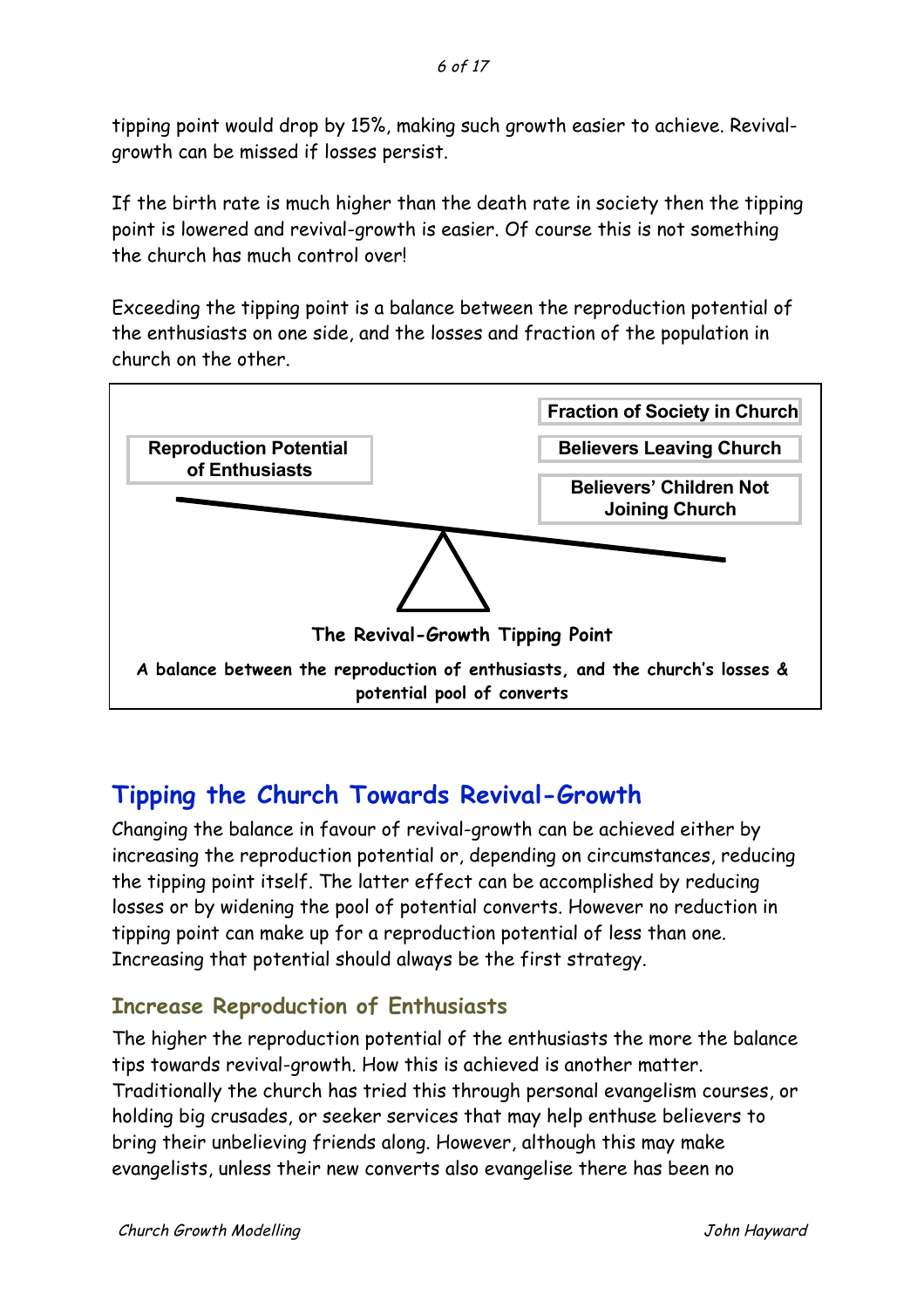tipping point would drop by 15%, making such growth easier to achieve. Revivalgrowth can be missed if losses persist.

If the birth rate is much higher than the death rate in society then the tipping point is lowered and revival-growth is easier. Of course this is not something the church has much control over!

Exceeding the tipping point is a balance between the reproduction potential of the enthusiasts on one side, and the losses and fraction of the population in church on the other.



# **Tipping the Church Towards Revival-Growth**

Changing the balance in favour of revival-growth can be achieved either by increasing the reproduction potential or, depending on circumstances, reducing the tipping point itself. The latter effect can be accomplished by reducing losses or by widening the pool of potential converts. However no reduction in tipping point can make up for a reproduction potential of less than one. Increasing that potential should always be the first strategy.

### **Increase Reproduction of Enthusiasts**

The higher the reproduction potential of the enthusiasts the more the balance tips towards revival-growth. How this is achieved is another matter. Traditionally the church has tried this through personal evangelism courses, or holding big crusades, or seeker services that may help enthuse believers to bring their unbelieving friends along. However, although this may make evangelists, unless their new converts also evangelise there has been no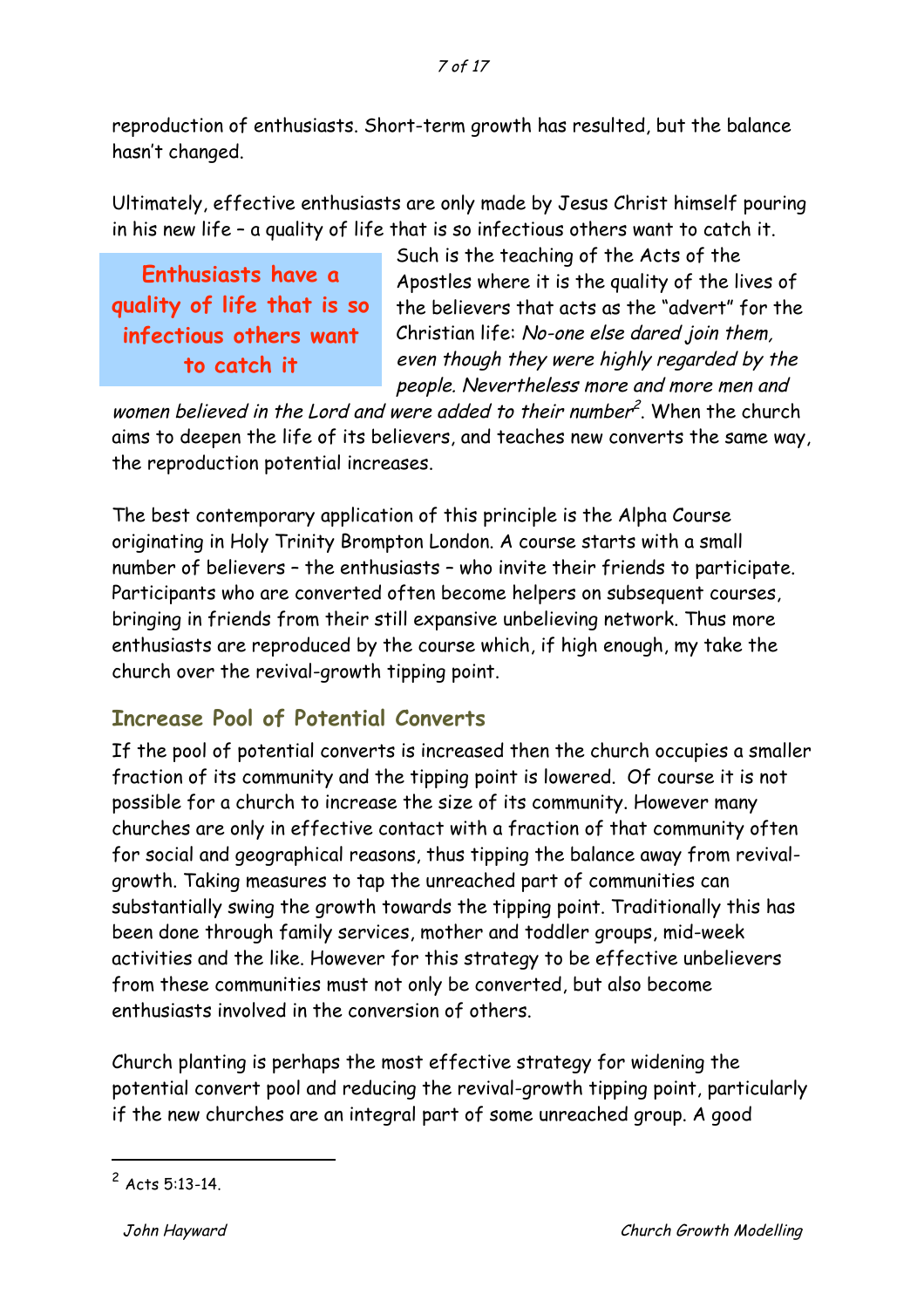#### 7 of 17

reproduction of enthusiasts. Short-term growth has resulted, but the balance hasn't changed.

Ultimately, effective enthusiasts are only made by Jesus Christ himself pouring in his new life – a quality of life that is so infectious others want to catch it.

**Enthusiasts have a quality of life that is so infectious others want to catch it**

Such is the teaching of the Acts of the Apostles where it is the quality of the lives of the believers that acts as the "advert" for the Christian life: No-one else dared join them, even though they were highly regarded by the people. Nevertheless more and more men and

women believed in the Lord and were added to their number<sup>2</sup>. When the church aims to deepen the life of its believers, and teaches new converts the same way, the reproduction potential increases.

The best contemporary application of this principle is the Alpha Course originating in Holy Trinity Brompton London. A course starts with a small number of believers – the enthusiasts – who invite their friends to participate. Participants who are converted often become helpers on subsequent courses, bringing in friends from their still expansive unbelieving network. Thus more enthusiasts are reproduced by the course which, if high enough, my take the church over the revival-growth tipping point.

#### **Increase Pool of Potential Converts**

If the pool of potential converts is increased then the church occupies a smaller fraction of its community and the tipping point is lowered. Of course it is not possible for a church to increase the size of its community. However many churches are only in effective contact with a fraction of that community often for social and geographical reasons, thus tipping the balance away from revivalgrowth. Taking measures to tap the unreached part of communities can substantially swing the growth towards the tipping point. Traditionally this has been done through family services, mother and toddler groups, mid-week activities and the like. However for this strategy to be effective unbelievers from these communities must not only be converted, but also become enthusiasts involved in the conversion of others.

Church planting is perhaps the most effective strategy for widening the potential convert pool and reducing the revival-growth tipping point, particularly if the new churches are an integral part of some unreached group. A good

 $2$  Acts 5:13-14.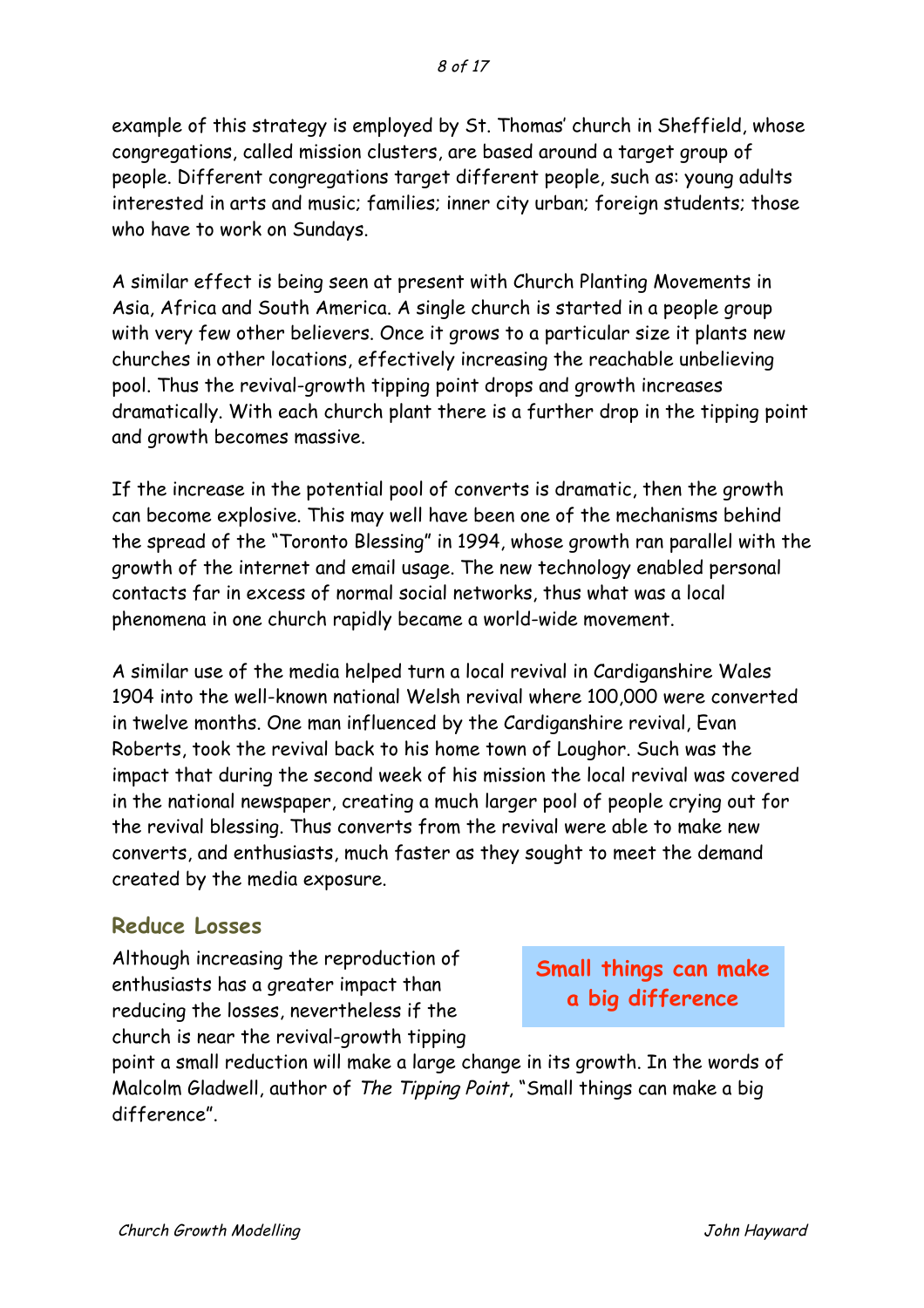example of this strategy is employed by St. Thomas' church in Sheffield, whose congregations, called mission clusters, are based around a target group of people. Different congregations target different people, such as: young adults interested in arts and music; families; inner city urban; foreign students; those who have to work on Sundays.

A similar effect is being seen at present with Church Planting Movements in Asia, Africa and South America. A single church is started in a people group with very few other believers. Once it grows to a particular size it plants new churches in other locations, effectively increasing the reachable unbelieving pool. Thus the revival-growth tipping point drops and growth increases dramatically. With each church plant there is a further drop in the tipping point and growth becomes massive.

If the increase in the potential pool of converts is dramatic, then the growth can become explosive. This may well have been one of the mechanisms behind the spread of the "Toronto Blessing" in 1994, whose growth ran parallel with the growth of the internet and email usage. The new technology enabled personal contacts far in excess of normal social networks, thus what was a local phenomena in one church rapidly became a world-wide movement.

A similar use of the media helped turn a local revival in Cardiganshire Wales 1904 into the well-known national Welsh revival where 100,000 were converted in twelve months. One man influenced by the Cardiganshire revival, Evan Roberts, took the revival back to his home town of Loughor. Such was the impact that during the second week of his mission the local revival was covered in the national newspaper, creating a much larger pool of people crying out for the revival blessing. Thus converts from the revival were able to make new converts, and enthusiasts, much faster as they sought to meet the demand created by the media exposure.

#### **Reduce Losses**

Although increasing the reproduction of enthusiasts has a greater impact than reducing the losses, nevertheless if the church is near the revival-growth tipping

**Small things can make a big difference**

point a small reduction will make a large change in its growth. In the words of Malcolm Gladwell, author of The Tipping Point, "Small things can make a big difference".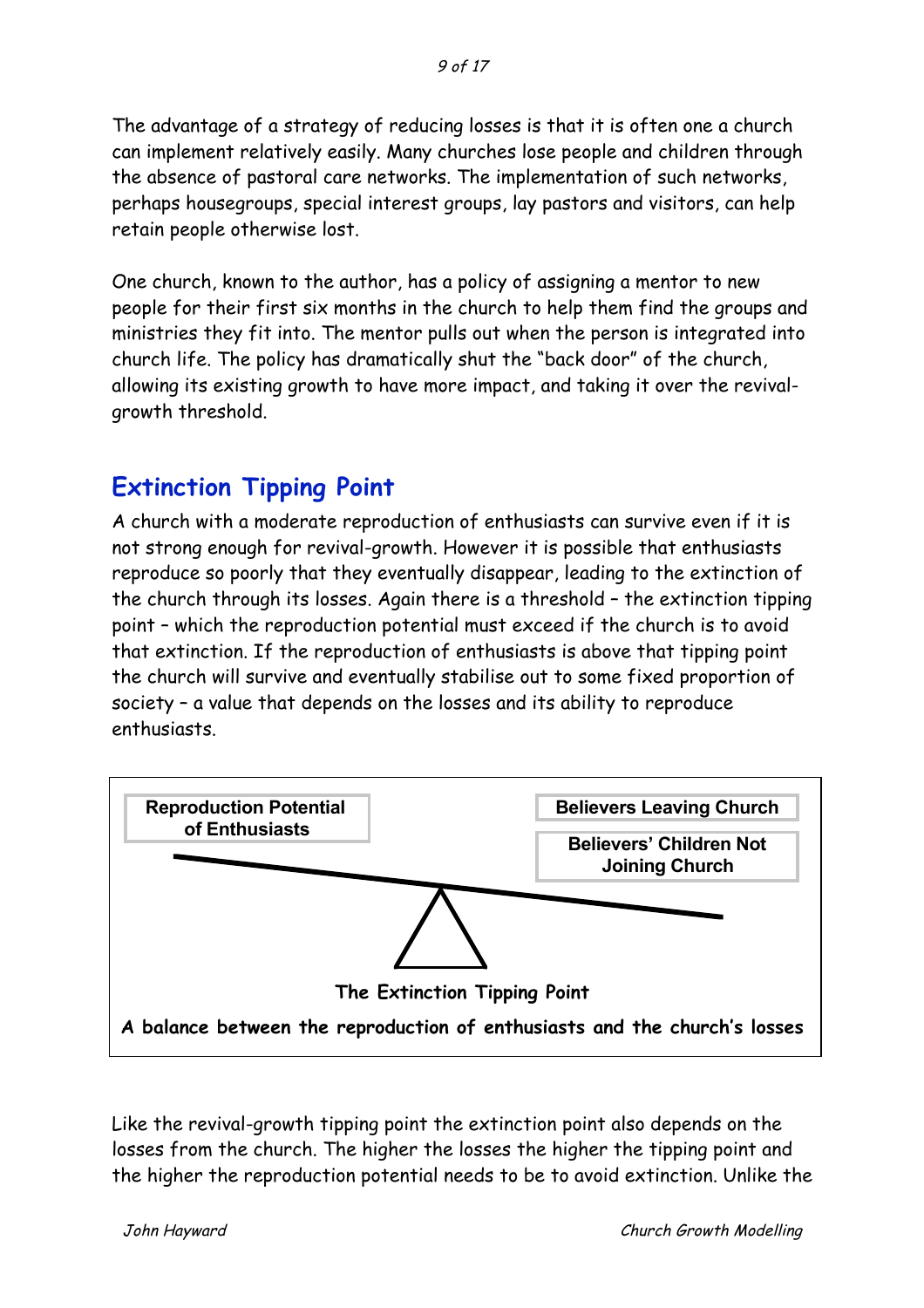The advantage of a strategy of reducing losses is that it is often one a church can implement relatively easily. Many churches lose people and children through the absence of pastoral care networks. The implementation of such networks, perhaps housegroups, special interest groups, lay pastors and visitors, can help retain people otherwise lost.

One church, known to the author, has a policy of assigning a mentor to new people for their first six months in the church to help them find the groups and ministries they fit into. The mentor pulls out when the person is integrated into church life. The policy has dramatically shut the "back door" of the church, allowing its existing growth to have more impact, and taking it over the revivalgrowth threshold.

## **Extinction Tipping Point**

A church with a moderate reproduction of enthusiasts can survive even if it is not strong enough for revival-growth. However it is possible that enthusiasts reproduce so poorly that they eventually disappear, leading to the extinction of the church through its losses. Again there is a threshold – the extinction tipping point – which the reproduction potential must exceed if the church is to avoid that extinction. If the reproduction of enthusiasts is above that tipping point the church will survive and eventually stabilise out to some fixed proportion of society – a value that depends on the losses and its ability to reproduce enthusiasts.



Like the revival-growth tipping point the extinction point also depends on the losses from the church. The higher the losses the higher the tipping point and the higher the reproduction potential needs to be to avoid extinction. Unlike the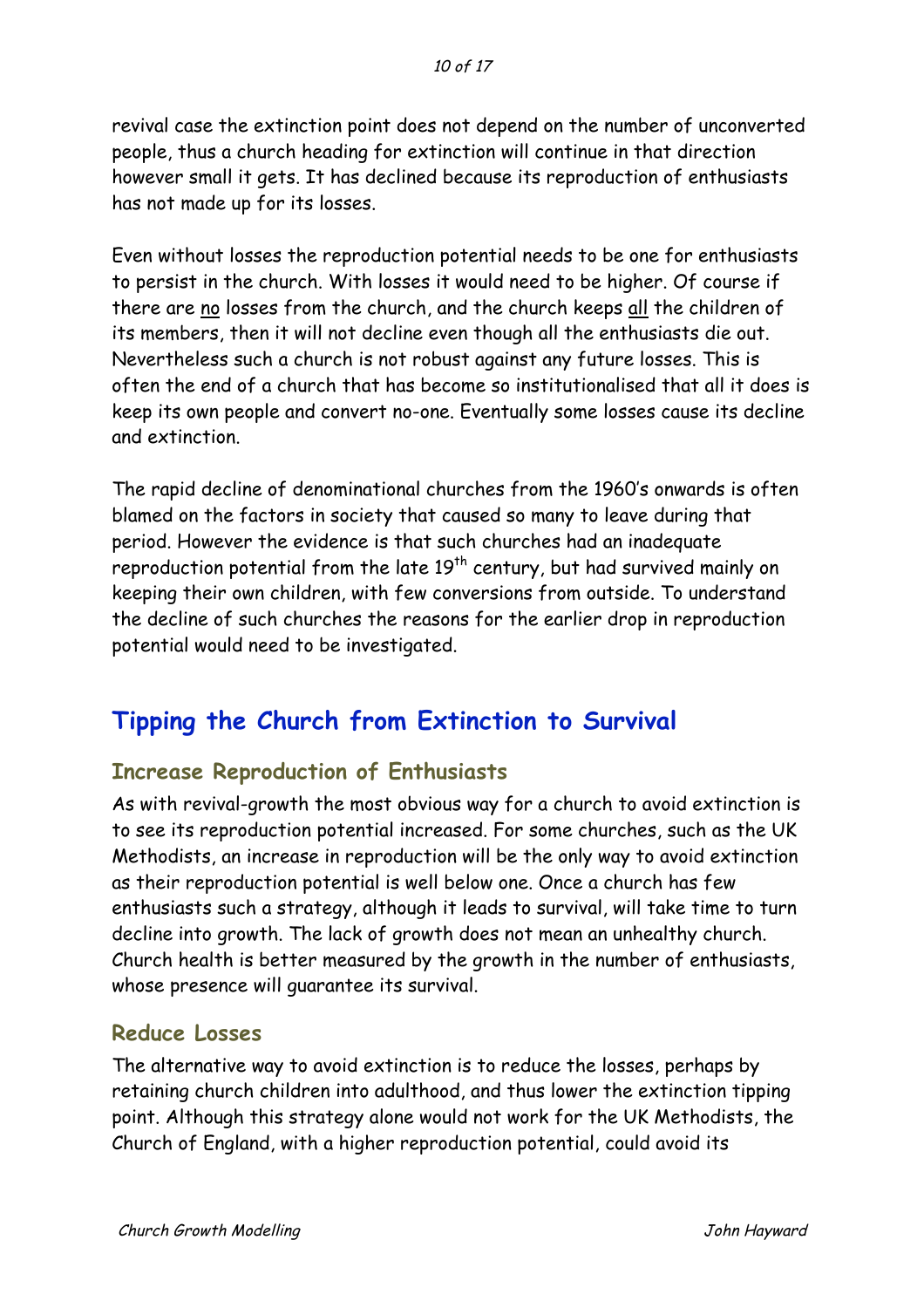revival case the extinction point does not depend on the number of unconverted people, thus a church heading for extinction will continue in that direction however small it gets. It has declined because its reproduction of enthusiasts has not made up for its losses.

Even without losses the reproduction potential needs to be one for enthusiasts to persist in the church. With losses it would need to be higher. Of course if there are no losses from the church, and the church keeps all the children of its members, then it will not decline even though all the enthusiasts die out. Nevertheless such a church is not robust against any future losses. This is often the end of a church that has become so institutionalised that all it does is keep its own people and convert no-one. Eventually some losses cause its decline and extinction.

The rapid decline of denominational churches from the 1960's onwards is often blamed on the factors in society that caused so many to leave during that period. However the evidence is that such churches had an inadequate reproduction potential from the late 19<sup>th</sup> century, but had survived mainly on keeping their own children, with few conversions from outside. To understand the decline of such churches the reasons for the earlier drop in reproduction potential would need to be investigated.

# **Tipping the Church from Extinction to Survival**

### **Increase Reproduction of Enthusiasts**

As with revival-growth the most obvious way for a church to avoid extinction is to see its reproduction potential increased. For some churches, such as the UK Methodists, an increase in reproduction will be the only way to avoid extinction as their reproduction potential is well below one. Once a church has few enthusiasts such a strategy, although it leads to survival, will take time to turn decline into growth. The lack of growth does not mean an unhealthy church. Church health is better measured by the growth in the number of enthusiasts, whose presence will guarantee its survival.

### **Reduce Losses**

The alternative way to avoid extinction is to reduce the losses, perhaps by retaining church children into adulthood, and thus lower the extinction tipping point. Although this strategy alone would not work for the UK Methodists, the Church of England, with a higher reproduction potential, could avoid its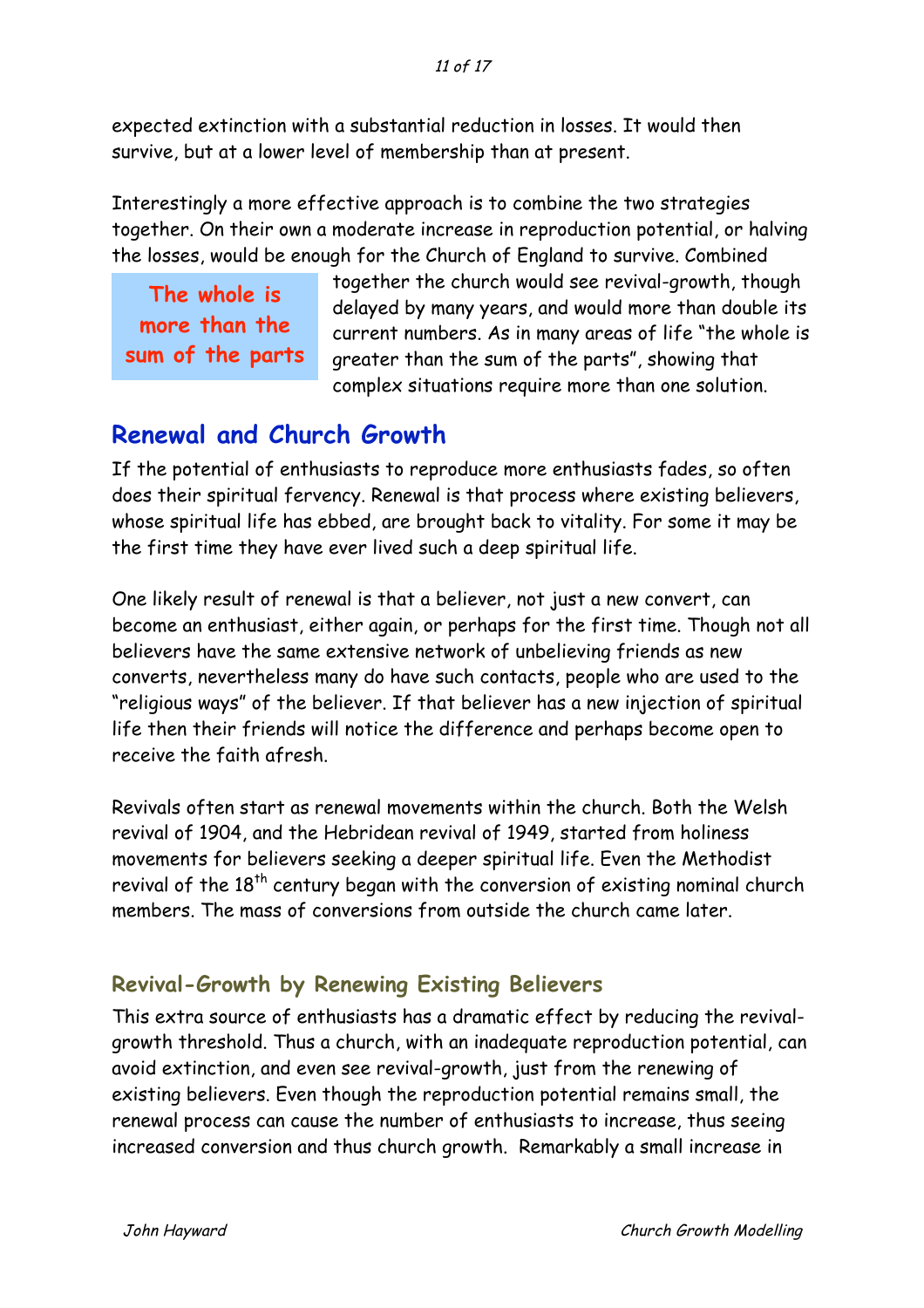#### 11 of 17

expected extinction with a substantial reduction in losses. It would then survive, but at a lower level of membership than at present.

Interestingly a more effective approach is to combine the two strategies together. On their own a moderate increase in reproduction potential, or halving the losses, would be enough for the Church of England to survive. Combined

**The whole is more than the sum of the parts** together the church would see revival-growth, though delayed by many years, and would more than double its current numbers. As in many areas of life "the whole is greater than the sum of the parts", showing that complex situations require more than one solution.

### **Renewal and Church Growth**

If the potential of enthusiasts to reproduce more enthusiasts fades, so often does their spiritual fervency. Renewal is that process where existing believers, whose spiritual life has ebbed, are brought back to vitality. For some it may be the first time they have ever lived such a deep spiritual life.

One likely result of renewal is that a believer, not just a new convert, can become an enthusiast, either again, or perhaps for the first time. Though not all believers have the same extensive network of unbelieving friends as new converts, nevertheless many do have such contacts, people who are used to the "religious ways" of the believer. If that believer has a new injection of spiritual life then their friends will notice the difference and perhaps become open to receive the faith afresh.

Revivals often start as renewal movements within the church. Both the Welsh revival of 1904, and the Hebridean revival of 1949, started from holiness movements for believers seeking a deeper spiritual life. Even the Methodist revival of the 18<sup>th</sup> century began with the conversion of existing nominal church members. The mass of conversions from outside the church came later.

### **Revival-Growth by Renewing Existing Believers**

This extra source of enthusiasts has a dramatic effect by reducing the revivalgrowth threshold. Thus a church, with an inadequate reproduction potential, can avoid extinction, and even see revival-growth, just from the renewing of existing believers. Even though the reproduction potential remains small, the renewal process can cause the number of enthusiasts to increase, thus seeing increased conversion and thus church growth. Remarkably a small increase in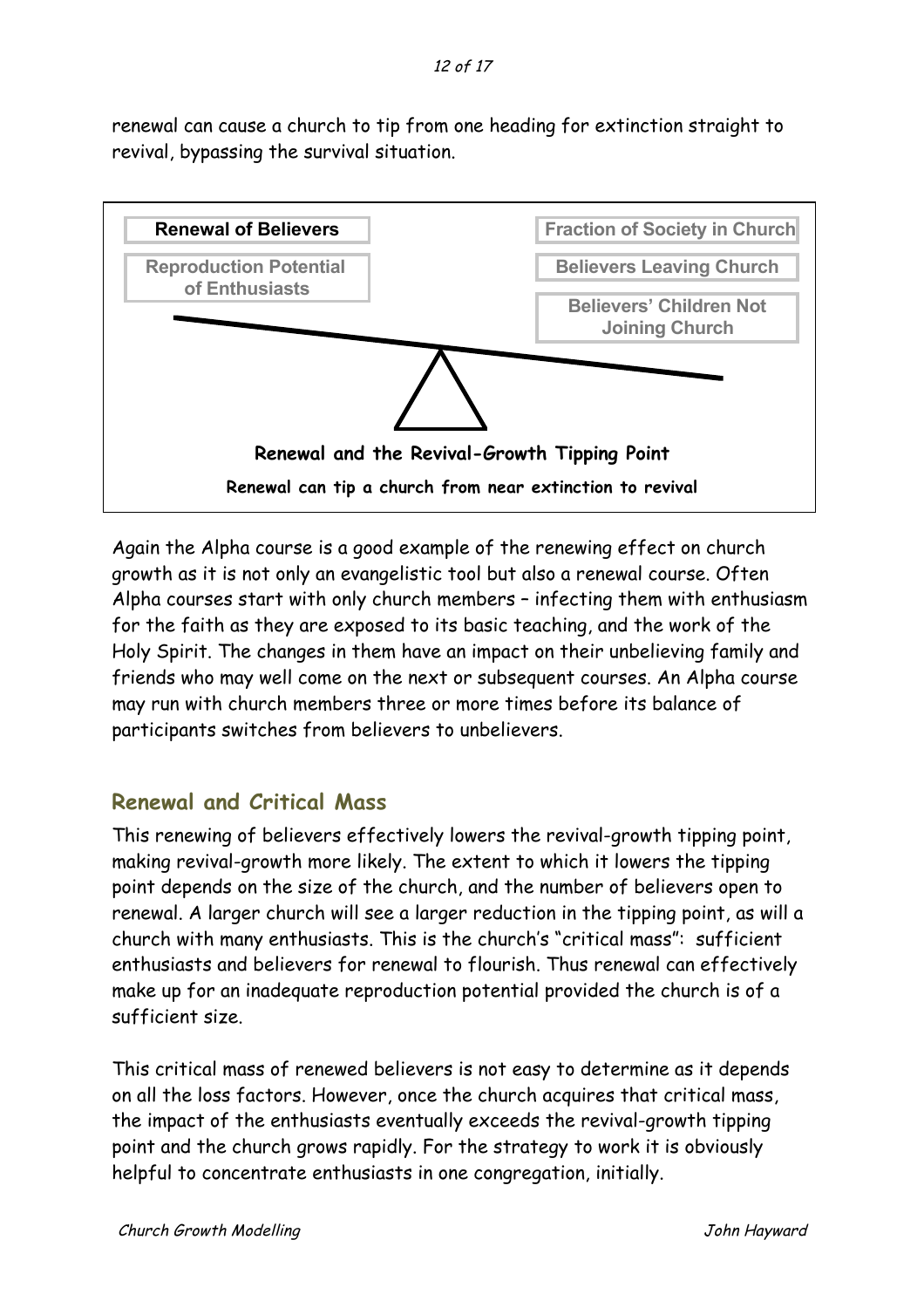renewal can cause a church to tip from one heading for extinction straight to revival, bypassing the survival situation.



Again the Alpha course is a good example of the renewing effect on church growth as it is not only an evangelistic tool but also a renewal course. Often Alpha courses start with only church members – infecting them with enthusiasm for the faith as they are exposed to its basic teaching, and the work of the Holy Spirit. The changes in them have an impact on their unbelieving family and friends who may well come on the next or subsequent courses. An Alpha course may run with church members three or more times before its balance of participants switches from believers to unbelievers.

### **Renewal and Critical Mass**

This renewing of believers effectively lowers the revival-growth tipping point, making revival-growth more likely. The extent to which it lowers the tipping point depends on the size of the church, and the number of believers open to renewal. A larger church will see a larger reduction in the tipping point, as will a church with many enthusiasts. This is the church's "critical mass": sufficient enthusiasts and believers for renewal to flourish. Thus renewal can effectively make up for an inadequate reproduction potential provided the church is of a sufficient size.

This critical mass of renewed believers is not easy to determine as it depends on all the loss factors. However, once the church acquires that critical mass, the impact of the enthusiasts eventually exceeds the revival-growth tipping point and the church grows rapidly. For the strategy to work it is obviously helpful to concentrate enthusiasts in one congregation, initially.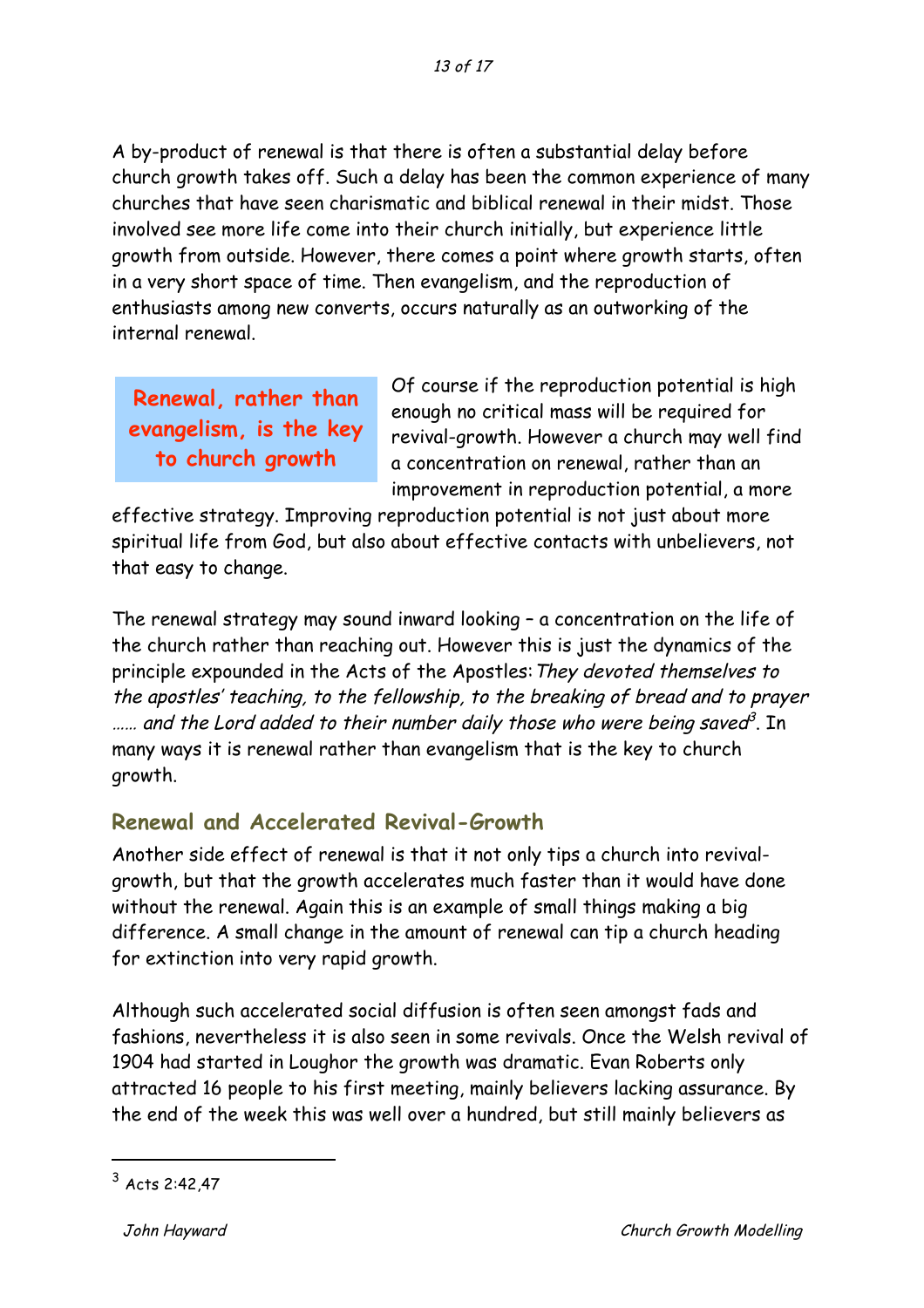A by-product of renewal is that there is often a substantial delay before church growth takes off. Such a delay has been the common experience of many churches that have seen charismatic and biblical renewal in their midst. Those involved see more life come into their church initially, but experience little growth from outside. However, there comes a point where growth starts, often in a very short space of time. Then evangelism, and the reproduction of enthusiasts among new converts, occurs naturally as an outworking of the internal renewal.

**Renewal, rather than evangelism, is the key to church growth**

Of course if the reproduction potential is high enough no critical mass will be required for revival-growth. However a church may well find a concentration on renewal, rather than an improvement in reproduction potential, a more

effective strategy. Improving reproduction potential is not just about more spiritual life from God, but also about effective contacts with unbelievers, not that easy to change.

The renewal strategy may sound inward looking – a concentration on the life of the church rather than reaching out. However this is just the dynamics of the principle expounded in the Acts of the Apostles: They devoted themselves to the apostles' teaching, to the fellowship, to the breaking of bread and to prayer  $\ldots$  and the Lord added to their number daily those who were being saved<sup>3</sup>. In many ways it is renewal rather than evangelism that is the key to church growth.

### **Renewal and Accelerated Revival-Growth**

Another side effect of renewal is that it not only tips a church into revivalgrowth, but that the growth accelerates much faster than it would have done without the renewal. Again this is an example of small things making a big difference. A small change in the amount of renewal can tip a church heading for extinction into very rapid growth.

Although such accelerated social diffusion is often seen amongst fads and fashions, nevertheless it is also seen in some revivals. Once the Welsh revival of 1904 had started in Loughor the growth was dramatic. Evan Roberts only attracted 16 people to his first meeting, mainly believers lacking assurance. By the end of the week this was well over a hundred, but still mainly believers as

 <sup>3</sup> Acts 2:42,47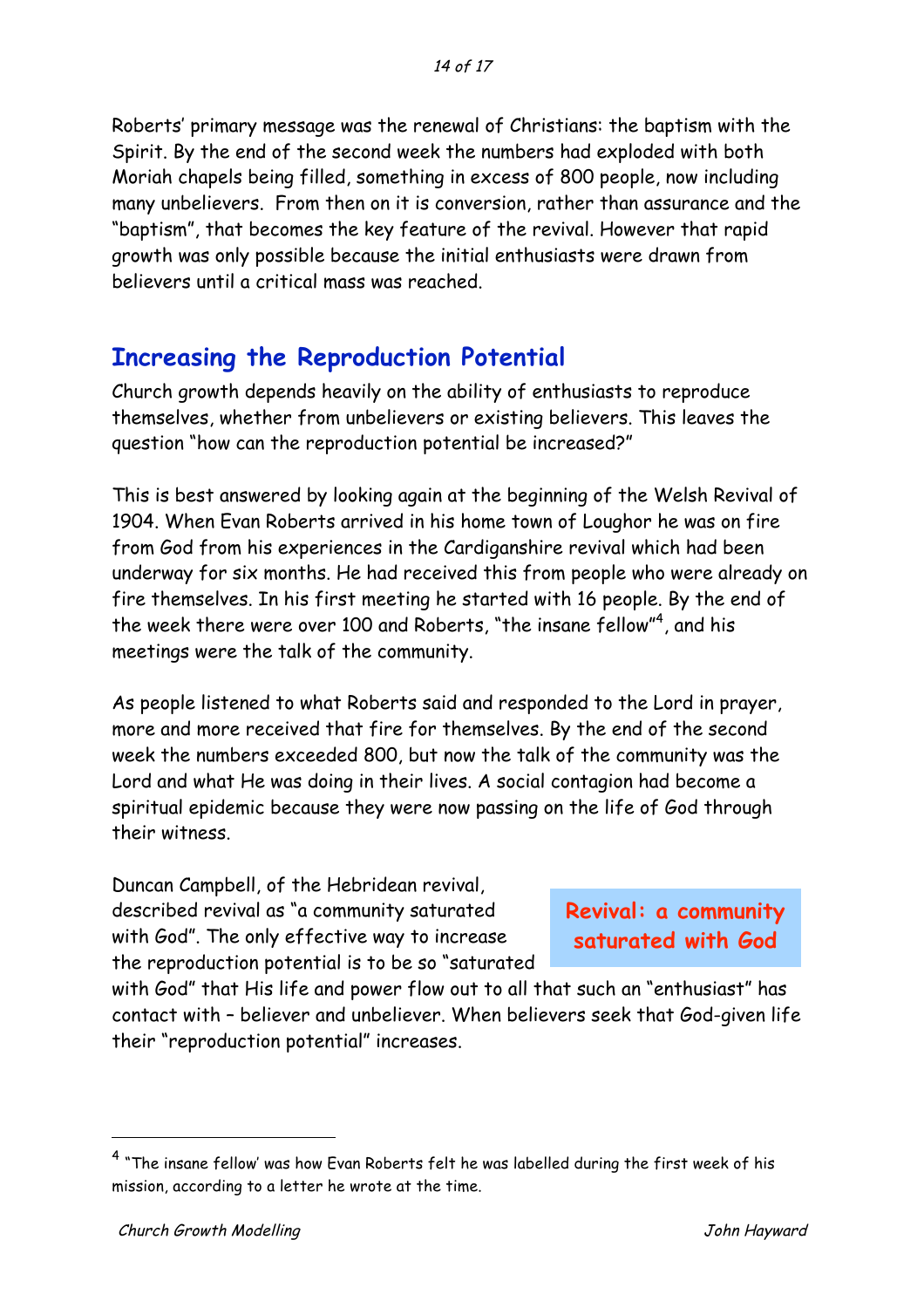Roberts' primary message was the renewal of Christians: the baptism with the Spirit. By the end of the second week the numbers had exploded with both Moriah chapels being filled, something in excess of 800 people, now including many unbelievers. From then on it is conversion, rather than assurance and the "baptism", that becomes the key feature of the revival. However that rapid growth was only possible because the initial enthusiasts were drawn from believers until a critical mass was reached.

### **Increasing the Reproduction Potential**

Church growth depends heavily on the ability of enthusiasts to reproduce themselves, whether from unbelievers or existing believers. This leaves the question "how can the reproduction potential be increased?"

This is best answered by looking again at the beginning of the Welsh Revival of 1904. When Evan Roberts arrived in his home town of Loughor he was on fire from God from his experiences in the Cardiganshire revival which had been underway for six months. He had received this from people who were already on fire themselves. In his first meeting he started with 16 people. By the end of the week there were over 100 and Roberts, "the insane fellow"<sup>4</sup>, and his meetings were the talk of the community.

As people listened to what Roberts said and responded to the Lord in prayer, more and more received that fire for themselves. By the end of the second week the numbers exceeded 800, but now the talk of the community was the Lord and what He was doing in their lives. A social contagion had become a spiritual epidemic because they were now passing on the life of God through their witness.

Duncan Campbell, of the Hebridean revival, described revival as "a community saturated with God". The only effective way to increase the reproduction potential is to be so "saturated

**Revival: a community saturated with God**

with God" that His life and power flow out to all that such an "enthusiast" has contact with – believer and unbeliever. When believers seek that God-given life their "reproduction potential" increases.

 <sup>4</sup> "The insane fellow' was how Evan Roberts felt he was labelled during the first week of his mission, according to a letter he wrote at the time.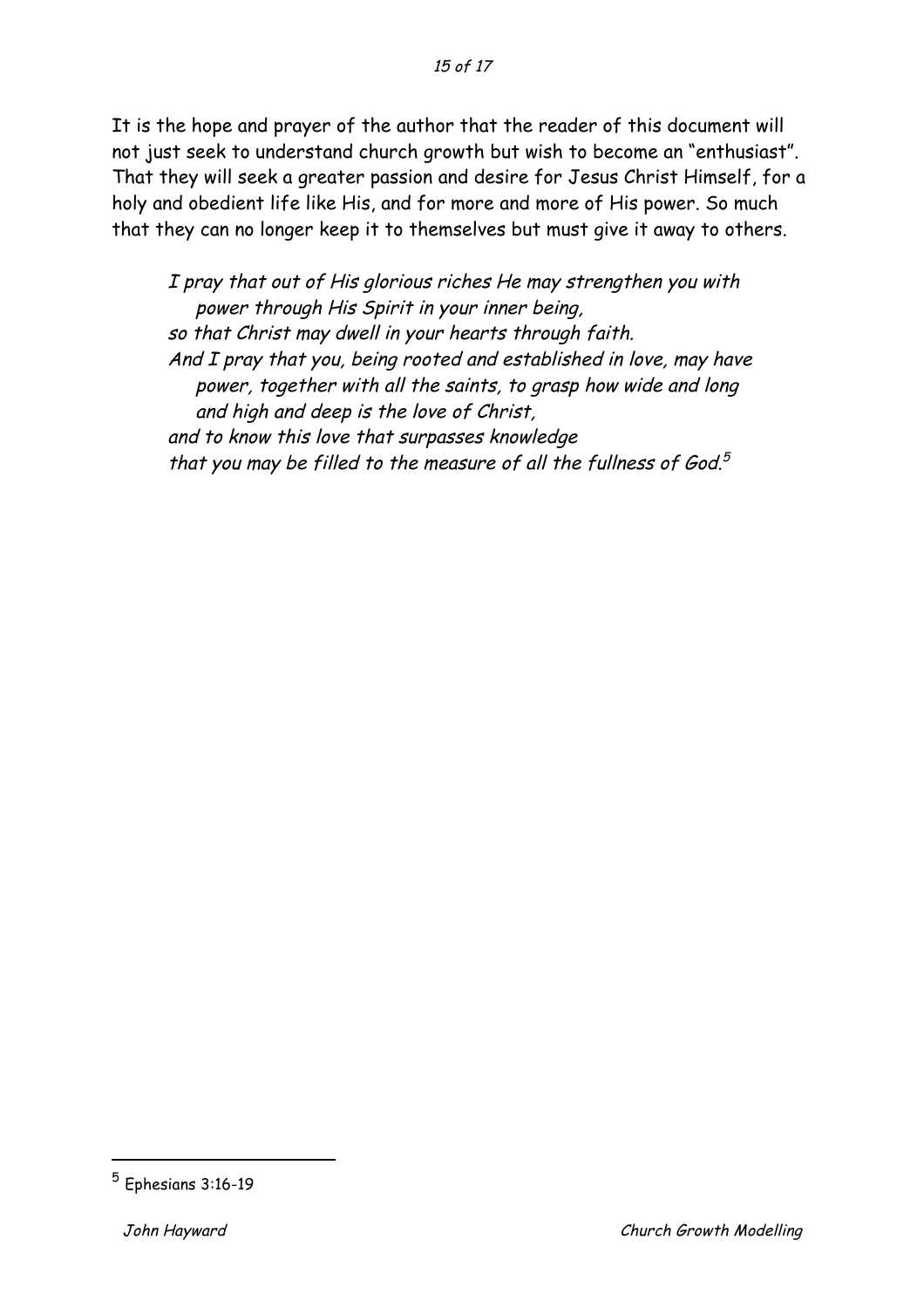It is the hope and prayer of the author that the reader of this document will not just seek to understand church growth but wish to become an "enthusiast". That they will seek a greater passion and desire for Jesus Christ Himself, for a holy and obedient life like His, and for more and more of His power. So much that they can no longer keep it to themselves but must give it away to others.

I pray that out of His glorious riches He may strengthen you with power through His Spirit in your inner being, so that Christ may dwell in your hearts through faith. And I pray that you, being rooted and established in love, may have power, together with all the saints, to grasp how wide and long and high and deep is the love of Christ, and to know this love that surpasses knowledge that you may be filled to the measure of all the fullness of God. $5$ 

 <sup>5</sup> Ephesians 3:16-19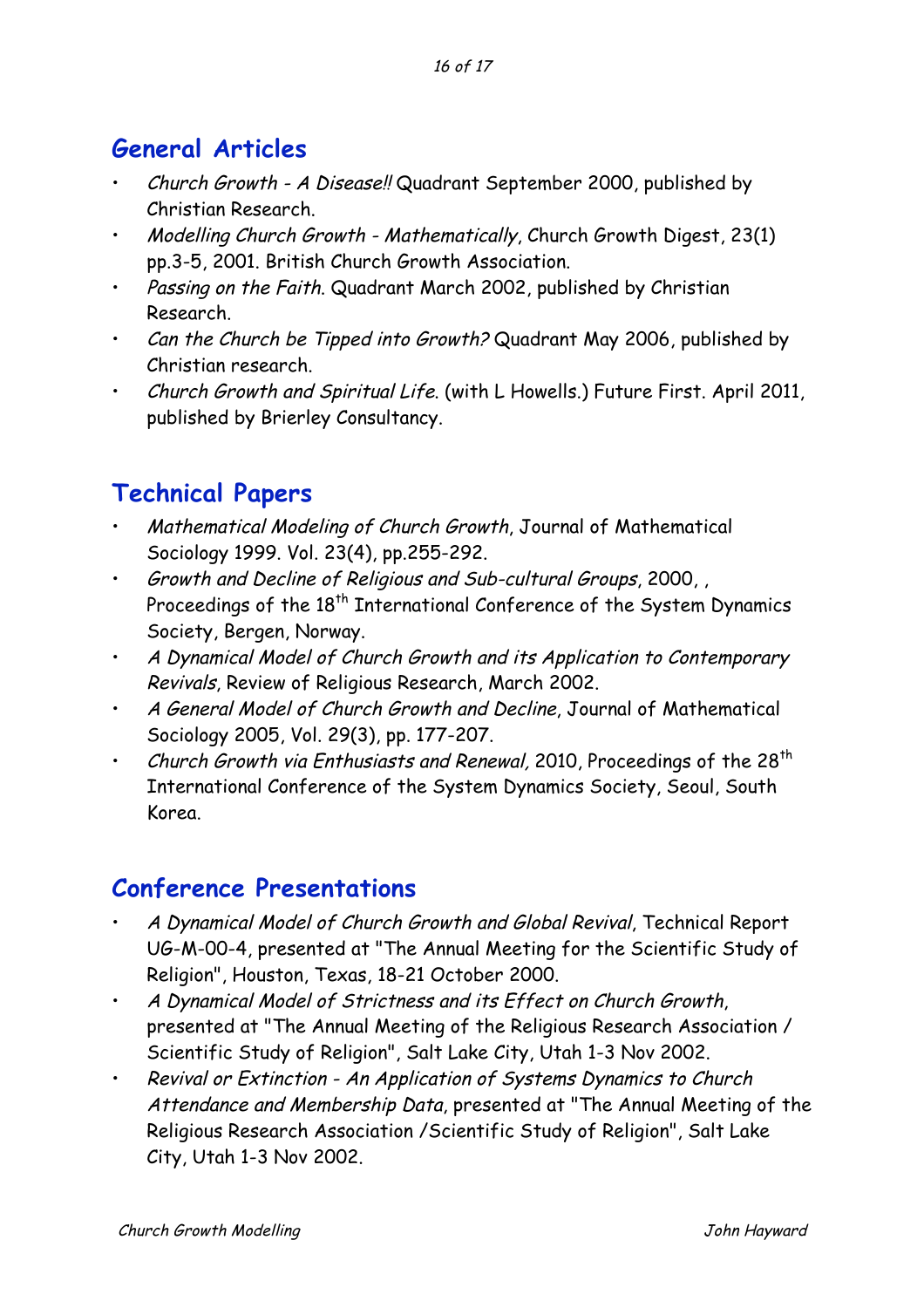# **General Articles**

- Church Growth A Disease!! Quadrant September 2000, published by Christian Research.
- Modelling Church Growth Mathematically, Church Growth Digest, 23(1) pp.3-5, 2001. British Church Growth Association.
- Passing on the Faith. Quadrant March 2002, published by Christian Research.
- Can the Church be Tipped into Growth? Quadrant May 2006, published by Christian research.
- Church Growth and Spiritual Life. (with L Howells.) Future First. April 2011, published by Brierley Consultancy.

# **Technical Papers**

- Mathematical Modeling of Church Growth, Journal of Mathematical Sociology 1999. Vol. 23(4), pp.255-292.
- Growth and Decline of Religious and Sub-cultural Groups, 2000, , Proceedings of the 18<sup>th</sup> International Conference of the System Dynamics Society, Bergen, Norway.
- A Dynamical Model of Church Growth and its Application to Contemporary Revivals, Review of Religious Research, March 2002.
- A General Model of Church Growth and Decline, Journal of Mathematical Sociology 2005, Vol. 29(3), pp. 177-207.
- Church Growth via Enthusiasts and Renewal, 2010, Proceedings of the 28<sup>th</sup> International Conference of the System Dynamics Society, Seoul, South Korea.

# **Conference Presentations**

- A Dynamical Model of Church Growth and Global Revival, Technical Report UG-M-00-4, presented at "The Annual Meeting for the Scientific Study of Religion", Houston, Texas, 18-21 October 2000.
- A Dynamical Model of Strictness and its Effect on Church Growth, presented at "The Annual Meeting of the Religious Research Association / Scientific Study of Religion", Salt Lake City, Utah 1-3 Nov 2002.
- Revival or Extinction An Application of Systems Dynamics to Church Attendance and Membership Data, presented at "The Annual Meeting of the Religious Research Association /Scientific Study of Religion", Salt Lake City, Utah 1-3 Nov 2002.